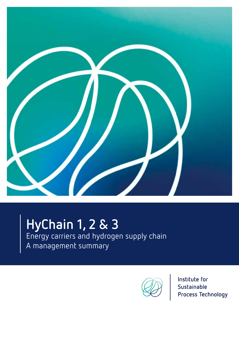

# **HyChain 1, 2 & 3**

Energy carriers and hydrogen supply chain

# A management summary

![](_page_0_Picture_4.jpeg)

Institute for Sustainable **Process Technology**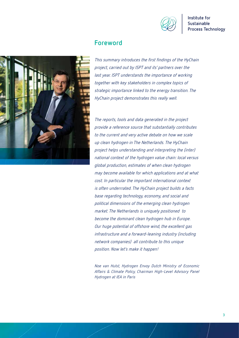![](_page_1_Picture_0.jpeg)

![](_page_1_Picture_2.jpeg)

### **Foreword**

This summary introduces the first findings of the HyChain project, carried out by ISPT and its' partners over the last year. ISPT understands the importance of working together with key stakeholders in complex topics of strategic importance linked to the energy transition. The HyChain project demonstrates this really well.

The reports, tools and data generated in the project provide a reference source that substantially contributes to the current and very active debate on how we scale up clean hydrogen in The Netherlands. The HyChain project helps understanding and interpreting the (inter) national context of the hydrogen value chain: local versus global production, estimates of when clean hydrogen may become available for which applications and at what cost. In particular the important international context is often underrrated. The HyChain project builds a facts base regarding technology, economy, and social and political dimensions of the emerging clean hydrogen market. The Netherlands is uniquely positioned to become the dominant clean hydrogen hub in Europe. Our huge potential of offshore wind, the excellent gas infrastructure and a forward-leaning industry (including network companies) all contribute to this unique position. Now let's make it happen!

Noe van Hulst, Hydrogen Envoy Dutch Ministry of Economic Affairs & Climate Policy, Chairman High-Level Advisory Panel Hydrogen at IEA in Paris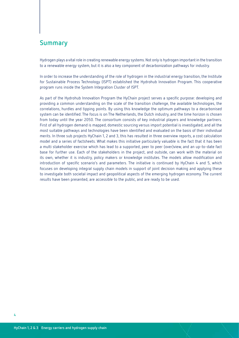## **Summary**

Hydrogen plays a vital role in creating renewable energy systems. Not only is hydrogen important in the transition to a renewable energy system, but it is also a key component of decarbonization pathways for industry.

In order to increase the understanding of the role of hydrogen in the industrial energy transition, the Institute for Sustainable Process Technology (ISPT) established the Hydrohub Innovation Program. This cooperative program runs inside the System Integration Cluster of ISPT.

As part of the Hydrohub Innovation Program the HyChain project serves a specific purpose: developing and providing a common understanding on the scale of the transition challenge, the available technologies, the correlations, hurdles and tipping points. By using this knowledge the optimum pathways to a decarbonised system can be identified. The focus is on The Netherlands, the Dutch industry, and the time horizon is chosen from today until the year 2050. The consortium consists of key industrial players and knowledge partners. First of all hydrogen demand is mapped, domestic sourcing versus import potential is investigated, and all the most suitable pathways and technologies have been identified and evaluated on the basis of their individual merits. In three sub projects HyChain 1, 2 and 3, this has resulted in three overview reports, a cost calculation model and a series of factsheets. What makes this initiative particularly valuable is the fact that it has been a multi stakeholder exercise which has lead to a supported, peer to peer (over)view, and an up-to-date fact base for further use. Each of the stakeholders in the project, and outside, can work with the material on its own, whether it is industry, policy makers or knowledge institutes. The models allow modification and introduction of specific scenario's and parameters. The initiative is continued by HyChain 4 and 5, which focuses on developing integral supply chain models in support of joint decision making and applying these to investigate both societal impact and geopolitical aspects of the emerging hydrogen economy. The current results have been presented, are accessible to the public, and are ready to be used.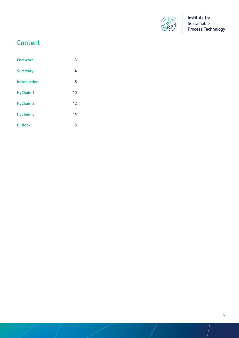![](_page_3_Picture_0.jpeg)

# **Content**

| <b>Foreword</b>  | 3  |
|------------------|----|
| <b>Summary</b>   | 4  |
| Introduction     | 6  |
| <b>HyChain 1</b> | 10 |
| <b>HyChain 2</b> | 12 |
| <b>HyChain 3</b> | 14 |
| <b>Outlook</b>   | 15 |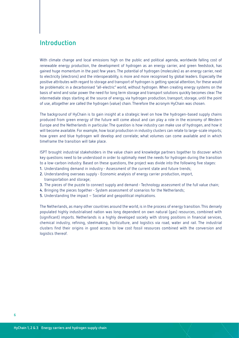### **Introduction**

With climate change and local emissions high on the public and political agenda, worldwide falling cost of renewable energy production, the development of hydrogen as an energy carrier, and green feedstock, has gained huge momentum in the past few years. The potential of hydrogen (molecules) as an energy carrier, next to electricity (electrons) and the interoperability, is more and more recognised by global leaders. Especially the positive attributes with regard to storage and transport of hydrogen is getting special attention, for these would be problematic in a decarbonised "all-electric" world, without hydrogen. When creating energy systems on the basis of wind and solar power the need for long term storage and transport solutions quickly becomes clear. The intermediate steps starting at the source of energy, via hydrogen production, transport, storage, until the point of use, altogether are called the hydrogen (value) chain. Therefore the acronym HyChain was chosen.

The background of HyChain is to gain insight at a strategic level on how the hydrogen-based supply chains produced from green energy of the future will come about and can play a role in the economy of Western Europe and the Netherlands in particular. The question is how industry can make use of hydrogen, and how it will become available. For example, how local production in industry clusters can relate to large-scale imports; how green and blue hydrogen will develop and correlate; what volumes can come available and in which timeframe the transition will take place.

ISPT brought industrial stakeholders in the value chain and knowledge partners together to discover which key questions need to be understood in order to optimally meet the needs for hydrogen during the transition to a low-carbon industry. Based on these questions, the project was divide into the following five stages:

- **1.** Understanding demand in industry Assessment of the current state and future trends;
- **2.** Understanding overseas supply Economic analysis of energy carrier production, import, transportation and storage;
- **3.** The pieces of the puzzle to connect supply and demand Technology assessment of the full value chain;
- **4.** Bringing the pieces together System assessment of scenarios for the Netherlands;
- **5.** Understanding the impact Societal and geopolitical implications.

The Netherlands, as many other countries around the world, is in the process of energy transition. This densely populated highly industrialised nation was long dependent on own natural (gas) resources, combined with (significant) imports. Netherlands is a highly developed society with strong positions in financial services, chemical industry, refining, steelmaking, horticulture, and logistics via road, water and rail. The industrial clusters find their origins in good access to low cost fossil resources combined with the conversion and logistics thereof.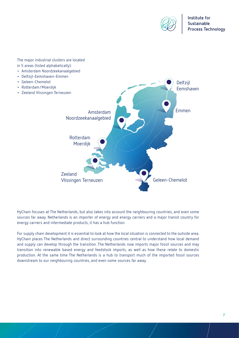![](_page_5_Picture_0.jpeg)

Delfzijl Eemshaven

The major industrial clusters are located in 5 areas (listed alphabetically):

- Amsterdam Noordzeekanaalgebied
- Delfzijl-Eemshaven-Emmen
- Geleen-Chemelot
- Rotterdam/Moerdijk
- Zeeland Vlissingen Terneuzen

![](_page_5_Picture_8.jpeg)

HyChain focuses at The Netherlands, but also takes into account the neighbouring countries, and even some sources far away. Netherlands is an importer of energy and energy carriers and a major transit country for energy carriers and intermediate products, it has a hub function.

For supply chain development it is essential to look at how the local situation is connected to the outside area. HyChain places The Netherlands and direct surrounding countries central to understand how local demand and supply can develop through the transition. The Netherlands now imports major fossil sources and may transition into renewable based energy and feedstock imports, as well as how these relate to domestic production. At the same time The Netherlands is a hub to transport much of the imported fossil sources downstream to our neighbouring countries, and even some sources far away.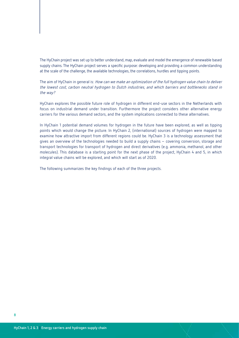### The HyChain project was set up to better understand, map, evaluate and model the emergence of renewable based supply chains. The HyChain project serves a specific purpose: developing and providing a common understanding at the scale of the challenge, the available technologies, the correlations, hurdles and tipping points.

The aim of HyChain in general is: How can we make an optimization of the full hydrogen value chain to deliver the lowest cost, carbon neutral hydrogen to Dutch industries, and which barriers and bottlenecks stand in the way?

HyChain explores the possible future role of hydrogen in different end-use sectors in the Netherlands with focus on industrial demand under transition. Furthermore the project considers other alternative energy carriers for the various demand sectors, and the system implications connected to these alternatives.

In HyChain 1 potential demand volumes for hydrogen in the future have been explored, as well as tipping points which would change the picture. In HyChain 2, (international) sources of hydrogen were mapped to examine how attractive import from different regions could be. HyChain 3 is a technology assessment that gives an overview of the technologies needed to build a supply chains – covering conversion, storage and transport technologies for transport of hydrogen and direct derivatives (e.g. ammonia, methanol, and other molecules). This database is a starting point for the next phase of the project, HyChain 4 and 5, in which integral value chains will be explored, and which will start as of 2020.

The following summarizes the key findings of each of the three projects.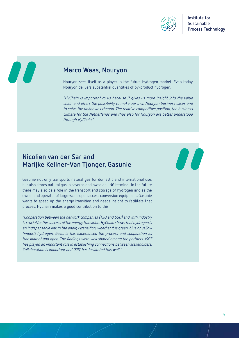![](_page_7_Picture_0.jpeg)

77

### **Marco Waas, Nouryon**

Nouryon sees itself as a player in the future hydrogen market. Even today Nouryon delivers substantial quantities of by-product hydrogen.

"HyChain is important to us because it gives us more insight into the value chain and offers the possibility to make our own Nouryon business cases and to solve the unknowns therein. The relative competitive position, the business climate for the Netherlands and thus also for Nouryon are better understood through HyChain."

### **Nicolien van der Sar and Marijke Kellner-Van Tjonger, Gasunie**

Gasunie not only transports natural gas for domestic and international use, but also stores natural gas in caverns and owns an LNG terminal. In the future there may also be a role in the transport and storage of hydrogen and as the owner and operator of large-scale open access conversion equipment. Gasunie wants to speed up the energy transition and needs insight to facilitate that process. HyChain makes a good contribution to this.

"Cooperation between the network companies (TSO and DSO) and with industry is crucial for the success of the energy transition. HyChain shows that hydrogen is an indispensable link in the energy transition, whether it is green, blue or yellow (import) hydrogen. Gasunie has experienced the process and cooperation as transparent and open. The findings were well shared among the partners. ISPT has played an important role in establishing connections between stakeholders. Collaboration is important and ISPT has facilitated this well."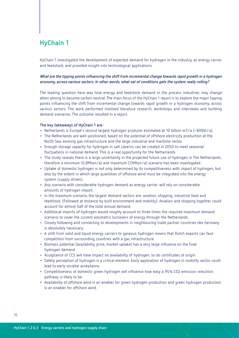# **HyChain 1**

HyChain 1 investigated the development of expected demand for hydrogen in the industry, as energy carrier and feedstock, and provided insight into technological applications.

### **What are the tipping points influencing the shift from incremental change towards rapid growth in a hydrogen economy, across various sectors. In other words, what set of conditions gets the system really rolling?**

The leading question here was how energy and feedstock demand in the process industries may change when aiming to become carbon neutral. The main focus of the HyChain 1 report is to explore the major tipping points influencing the shift from incremental change towards rapid growth in a hydrogen economy, across various sectors. The work performed involved literature research, workshops and interviews and building demand scenarios. The outcome resulted in a report.

#### **The key takeaways of HyChain 1 are:**

- Netherlands is Europe's second largest hydrogen producer estimated at 10 billion m3/a (~800kt/a).
- The Netherlands are well-positioned, based on the potential of offshore electricity production at the North Sea, existing gas infrastructure and the large industrial and maritime sector.
- Enough storage capacity for hydrogen in salt caverns can be created in 2050 to meet seasonal fluctuations in national demand. This is a real opportunity for the Netherlands.
- The study reveals there is a large uncertainty in the projected future use of hydrogen in The Netherlands, therefore a minimum (0,8Mton/a) and maximum (13Mton/a) scenario has been investigated.
- Uptake of domestic hydrogen is not only determined by its competitiveness with import of hydrogen, but also by the extent in which large quantities of offshore wind must be integrated into the energy system (supply driven).
- Any scenario with considerable hydrogen demand as energy carrier, will rely on considerable amounts of hydrogen import.
- In the maximum scenario, the largest demand sectors are: aviation, shipping, industrial heat and feedstock. (Followed at distance by built environment and mobility). Aviation and shipping together could account for almost half of the total annual demand.
- Additional imports of hydrogen would roughly account to three times the required maximum demand scenario to cover the current volumetric turnovers of energy through the Netherlands.
- Closely following and connecting to developments in neighbouring trade partner countries like Germany is absolutely necessary.
- A shift from solid and liquid energy carriers to gaseous hydrogen means that Dutch exports can face competition from surrounding countries with a gas infrastructure.
- Biomass potential (availability, price, market uptake) has a very large influence on the final hydrogen demand.
- Acceptance of CCS will have impact on availability of hydrogen, so do certificates of origin.
- Safety perception of hydrogen is a critical element. Early application of hydrogen in mobility sector could lead to early societal acceptance.
- Competitiveness of domestic green hydrogen will influence how easy a 95% CO2 emission reduction pathway is likely to be.
- Availability of offshore wind is an enabler for green hydrogen production and green hydrogen production is an enabler for offshore wind.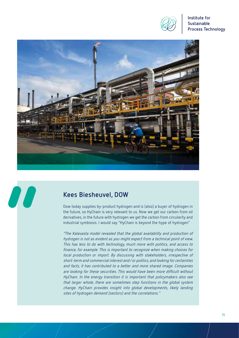![](_page_9_Picture_0.jpeg)

![](_page_9_Picture_2.jpeg)

### **Kees Biesheuvel, DOW**

80

Dow today supplies by-product hydrogen and is (also) a buyer of hydrogen in the future, so HyChain is very relevant to us. Now we get our carbon from oil derivatives, in the future with hydrogen we get the carbon from circularity and industrial symbiosis. I would say "HyChain is beyond the hype of hydrogen"

"The Kalavasta model revealed that the global availability and production of hydrogen is not as evident as you might expect from a technical point of view. This has less to do with technology, much more with politics, and access to finance, for example. This is important to recognize when making choices for local production or import. By discussing with stakeholders, irrespective of short-term and commercial interest and / or politics, and looking for certainties and facts, it has contributed to a better and more shared image. Companies are looking for these securities. This would have been more difficult without HyChain. In the energy transition it is important that policymakers also see that larger whole, there are sometimes step functions in the global system change. HyChain provides insight into global developments, likely landing sites of hydrogen demand (sectors) and the correlations."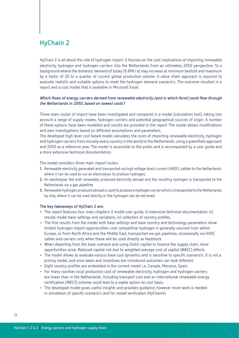# **HyChain 2**

HyChain 2 is all about the role of hydrogen import. It focuses on the cost implications of importing renewable electricity, hydrogen and hydrogen carriers into the Netherlands from an ultimately 2050 perspective. To a background where the domestic demand of today (0.8Mt/a) may increase at minimum twofold and maximum by a factor of 20 to a quarter of current global production volume. A value chain approach is required to evaluate realistic and suitable options to meet the hydrogen demand scenario's. The outcome resulted in a report and a cost model that is available in Microsoft Excel.

### **Which flows of energy carriers derived from renewable electricity (and in which form) could flow through the Netherlands in 2050, based on lowest costs?**

Three main routes of import have been investigated and compared in a model (calculation tool), taking into account a range of supply modes, hydrogen carriers and potential geographical sources of origin. A number of these options have been modelled and results are provided in the report. The model allows modifications and own investigations based on different assumptions and parameters.

The developed high level cost based model calculates the costs of importing renewable electricity, hydrogen and hydrogen carriers from virtually every country in the world to the Netherlands, using a greenfield approach and 2050 as a reference year. The model is accessible to the public and is accompanied by a user guide and a more extensive technical documentation.

The model considers three main *import* routes:

- **1.** Renewable electricity generated and transported via high voltage direct current (HVDC) cables to the Netherlands, where it can be used to run an electrolyser to produce hydrogen;
- **2.** An electrolyser fed with renewably produced electricity abroad and the resulting hydrogen is transported to the Netherlands via a gas pipeline;
- **3.** Renewable hydrogen produced abroad is used to produce a hydrogen carrier which is transported to the Netherlands by ship, where it can be used directly or the hydrogen can be retrieved.

#### **The key takeaways of HyChain 2 are:**

- The report features four main chapters i) model user guide, ii) extensive technical documentation iii) results model base settings and variations, iv) collection of country profiles.
- The first results from the model with base settings and base country and technology parameters show limited hydrogen import opportunities: cost competitive hydrogen is generally sourced from within Europe, or from North Africa and the Middle East, transported via gas pipelines, occasionally via HVDC cables and carriers only when these will be used directly as feedstock.
- When departing from the base scenario and using Dutch capital to finance the supply chain, more opportunities arise. Reduced capital risk due to weighted average cost of capital (WACC) effects.
- The model allows to evaluate various base cost dynamics and is sensitive to specific scenario's. It is not a pricing model, and once taxes and incentives are introduced outcomes can look different.
- Eight country profiles are embedded in the current model i.e. Canada, Morocco, Spain.
- For many counties local production cost of renewable electricity, hydrogen and hydrogen carriers are lower than in the Netherlands. Including transport cost and an international renewable energy certification (IRECS) scheme could lead to a viable option on cost basis.
- The developed model gives useful insights and provides guidance, however more work is needed in simulation of specific scenario's and for model verification (HyChain4).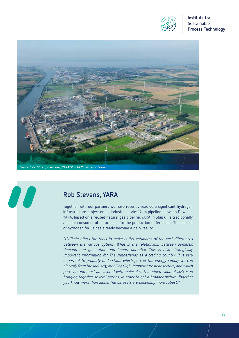![](_page_11_Picture_0.jpeg)

![](_page_11_Picture_2.jpeg)

# **Rob Stevens, YARA**

00

Together with our partners we have recently readied a significant hydrogen infrastructure project on an industrial scale: 12km pipeline between Dow and YARA, based on a reused natural gas pipeline. YARA in Sluiskil is traditionally a major consumer of natural gas for the production of fertilizers. The subject of hydrogen for us has already become a daily reality.

"HyChain offers the tools to make better estimates of the cost differences between the various options. What is the relationship between domestic demand and generation and import potential. This is also strategically important information for The Netherlands as a trading country. It is very important to properly understand which part of the energy supply we can electrify from the Industry, Mobility, High-temperature heat sectors, and which part can and must be covered with molecules. The added value of ISPT is in bringing together several parties, in order to get a broader picture. Together you know more than alone. The datasets are becoming more robust."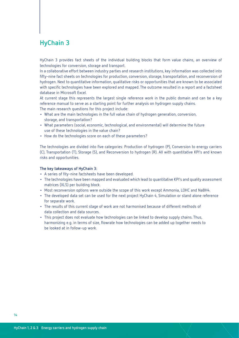# **HyChain 3**

HyChain 3 provides fact sheets of the individual building blocks that form value chains, an overview of technologies for conversion, storage and transport.

In a collaborative effort between industry parties and research institutions, key information was collected into fifty-nine fact sheets on technologies for production, conversion, storage, transportation, and reconversion of hydrogen. Next to quantitative information, qualitative risks or opportunities that are known to be associated with specific technologies have been explored and mapped. The outcome resulted in a report and a factsheet database in Microsoft Excel.

At current stage this represents the largest single reference work in the public domain and can be a key reference manual to serve as a starting point for further analysis on hydrogen supply chains. The main research questions for this project include:

- What are the main technologies in the full value chain of hydrogen generation, conversion, storage, and transportation?
- What parameters (social, economic, technological, and environmental) will determine the future use of these technologies in the value chain?
- How do the technologies score on each of these parameters?

The technologies are divided into five categories: Production of hydrogen (P), Conversion to energy carriers (C), Transportation (T), Storage (S), and Reconversion to hydrogen (R). All with quantitative KPI's and known risks and opportunities.

#### **The key takeaways of HyChain 3:**

- A series of fity-nine factsheets have been developed.
- The technologies have been mapped and evaluated which lead to quantitative KPI's and quality assessment matrices (XLS) per building block.
- Most reconversion options were outside the scope of this work except Ammonia, LOHC and NaBH4.
- The developed data set can be used for the next project HyChain 4, Simulation or stand alone reference for separate work.
- The results of this current stage of work are not harmonised because of different methods of data collection and data sources.
- This project does not evaluate how technologies can be linked to develop supply chains. Thus, harmonizing e.g. in terms of size, flowrate how technologies can be added up together needs to be looked at in follow-up work.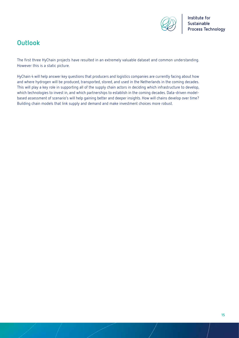![](_page_13_Picture_0.jpeg)

# **Outlook**

The first three HyChain projects have resulted in an extremely valuable dataset and common understanding. However this is a static picture.

HyChain 4 will help answer key questions that producers and logistics companies are currently facing about how and where hydrogen will be produced, transported, stored, and used in the Netherlands in the coming decades. This will play a key role in supporting all of the supply chain actors in deciding which infrastructure to develop, which technologies to invest in, and which partnerships to establish in the coming decades. Data-driven modelbased assessment of scenario's will help gaining better and deeper insights. How will chains develop over time? Building chain models that link supply and demand and make investment choices more robust.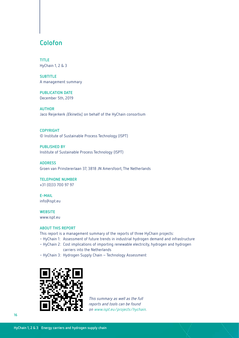### **Colofon**

**TITLE** HyChain 1, 2 & 3

**SUBTITLE** A management summary

**PUBLICATION DATE** December 5th, 2019

**AUTHOR** Jaco Reijerkerk (Ekinetix), on behalf of the HyChain consortium

**COPYRIGHT** © Institute of Sustainable Process Technology (ISPT)

**PUBLISHED BY** Institute of Sustainable Process Technology (ISPT)

**ADDRESS** Groen van Prinstererlaan 37, 3818 JN Amersfoort, The Netherlands

**TELEPHONE NUMBER** +31 (0)33 700 97 97

**E-MAIL** info@ispt.eu

**WEBSITE** www.ispt.eu

#### **ABOUT THIS REPORT**

This report is a management summary of the reports of three HyChain projects:

- HyChain 1: Assessment of future trends in industrial hydrogen demand and infrastructure
- HyChain 2: Cost implications of importing renewable electricity, hydrogen and hydrogen carriers into the Netherlands
- HyChain 3: Hydrogen Supply Chain Technology Assessment

![](_page_14_Picture_17.jpeg)

This summary as well as the full reports and tools can be found on www.ispt.eu/projects/hychain.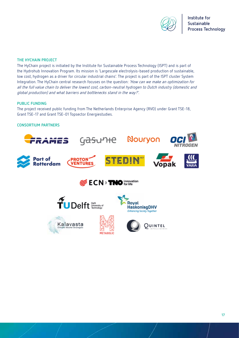![](_page_15_Picture_0.jpeg)

#### **THE HYCHAIN PROJECT**

The HyChain project is initiated by the Institute for Sustainable Process Technology (ISPT) and is part of the Hydrohub Innovation Program. Its mission is 'Largescale electrolysis-based production of sustainable, low cost, hydrogen as a driver for circular industrial chains'. The project is part of the ISPT cluster System Integration. The HyChain central research focuses on the question: 'How can we make an optimization for all the full value chain to deliver the lowest cost, carbon-neutral hydrogen to Dutch industry (domestic and global production) and what barriers and bottlenecks stand in the way?'.

### **PUBLIC FUNDING**

The project received public funding from The Netherlands Enterprise Agency (RVO) under Grant TSE-18, Grant TSE-17 and Grant TSE-01 Topsector Energiestudies.

#### **CONSORTIUM PARTNERS**

![](_page_15_Picture_7.jpeg)